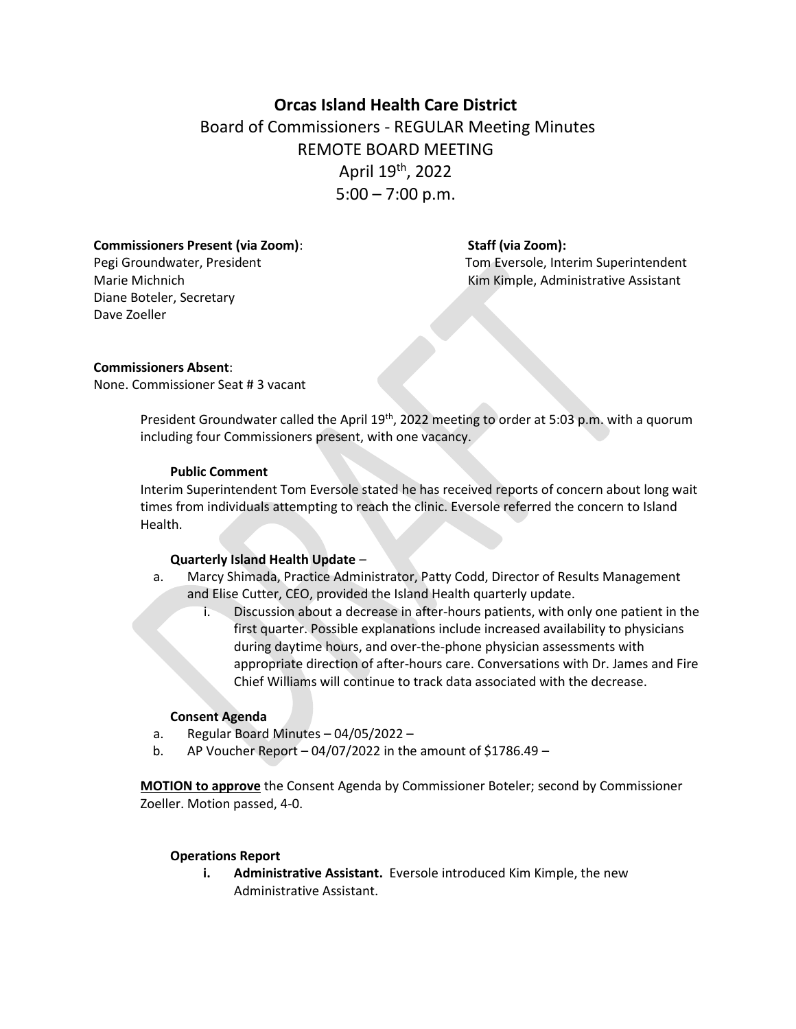# **Orcas Island Health Care District** Board of Commissioners - REGULAR Meeting Minutes REMOTE BOARD MEETING April 19th, 2022  $5:00 - 7:00$  p.m.

#### **Commissioners Present (via Zoom)**: **Staff (via Zoom):**

Diane Boteler, Secretary Dave Zoeller

Pegi Groundwater, President Tom Eversole, Interim Superintendent Marie Michnich **Kim Kimple, Administrative Assistant** 

### **Commissioners Absent**:

None. Commissioner Seat # 3 vacant

President Groundwater called the April 19<sup>th</sup>, 2022 meeting to order at 5:03 p.m. with a quorum including four Commissioners present, with one vacancy.

#### **Public Comment**

Interim Superintendent Tom Eversole stated he has received reports of concern about long wait times from individuals attempting to reach the clinic. Eversole referred the concern to Island Health.

### **Quarterly Island Health Update** *–*

- a. Marcy Shimada, Practice Administrator, Patty Codd, Director of Results Management and Elise Cutter, CEO, provided the Island Health quarterly update.
	- i. Discussion about a decrease in after-hours patients, with only one patient in the first quarter. Possible explanations include increased availability to physicians during daytime hours, and over-the-phone physician assessments with appropriate direction of after-hours care. Conversations with Dr. James and Fire Chief Williams will continue to track data associated with the decrease.

#### **Consent Agenda**

- a. Regular Board Minutes 04/05/2022 –
- b. AP Voucher Report  $-04/07/2022$  in the amount of \$1786.49 –

**MOTION to approve** the Consent Agenda by Commissioner Boteler; second by Commissioner Zoeller. Motion passed, 4-0.

### **Operations Report**

**i. Administrative Assistant.** Eversole introduced Kim Kimple, the new Administrative Assistant.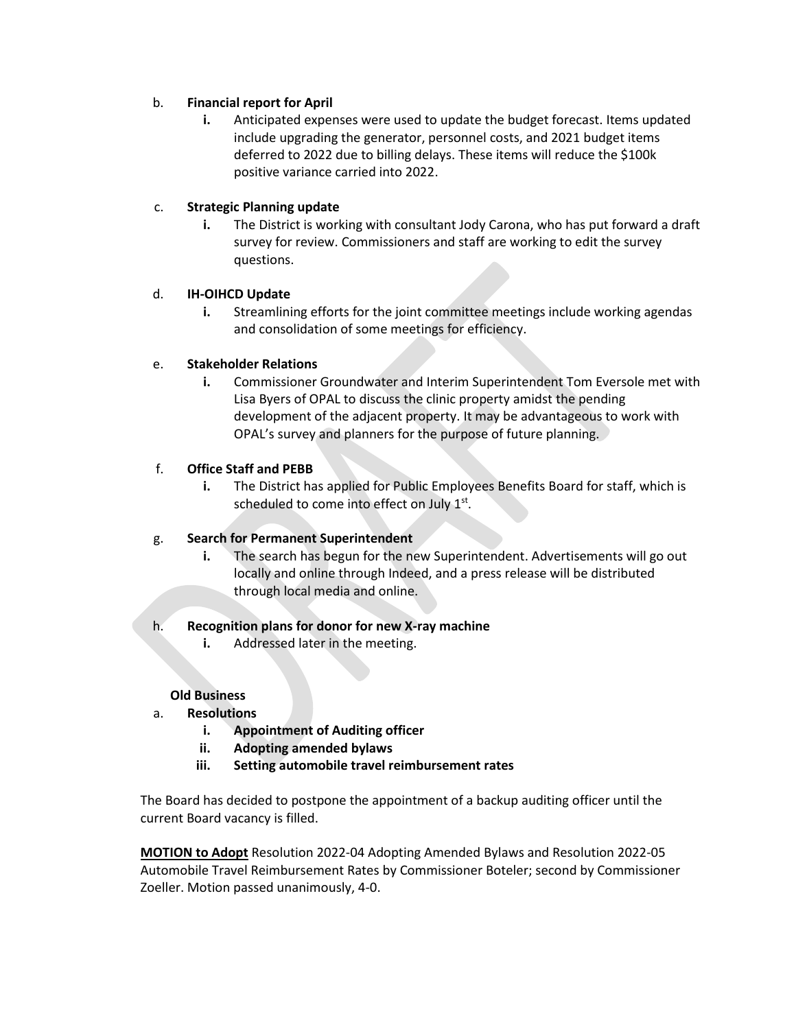# b. **Financial report for April**

**i.** Anticipated expenses were used to update the budget forecast. Items updated include upgrading the generator, personnel costs, and 2021 budget items deferred to 2022 due to billing delays. These items will reduce the \$100k positive variance carried into 2022.

# c. **Strategic Planning update**

**i.** The District is working with consultant Jody Carona, who has put forward a draft survey for review. Commissioners and staff are working to edit the survey questions.

### d. **IH-OIHCD Update**

**i.** Streamlining efforts for the joint committee meetings include working agendas and consolidation of some meetings for efficiency.

# e. **Stakeholder Relations**

**i.** Commissioner Groundwater and Interim Superintendent Tom Eversole met with Lisa Byers of OPAL to discuss the clinic property amidst the pending development of the adjacent property. It may be advantageous to work with OPAL's survey and planners for the purpose of future planning.

# f. **Office Staff and PEBB**

**i.** The District has applied for Public Employees Benefits Board for staff, which is scheduled to come into effect on July  $1<sup>st</sup>$ .

# g. **Search for Permanent Superintendent**

**i.** The search has begun for the new Superintendent. Advertisements will go out locally and online through Indeed, and a press release will be distributed through local media and online.

### h. **Recognition plans for donor for new X-ray machine**

**i.** Addressed later in the meeting.

### **Old Business**

- a. **Resolutions**
	- **i. Appointment of Auditing officer**
	- **ii. Adopting amended bylaws**
	- **iii. Setting automobile travel reimbursement rates**

The Board has decided to postpone the appointment of a backup auditing officer until the current Board vacancy is filled.

**MOTION to Adopt** Resolution 2022-04 Adopting Amended Bylaws and Resolution 2022-05 Automobile Travel Reimbursement Rates by Commissioner Boteler; second by Commissioner Zoeller. Motion passed unanimously, 4-0.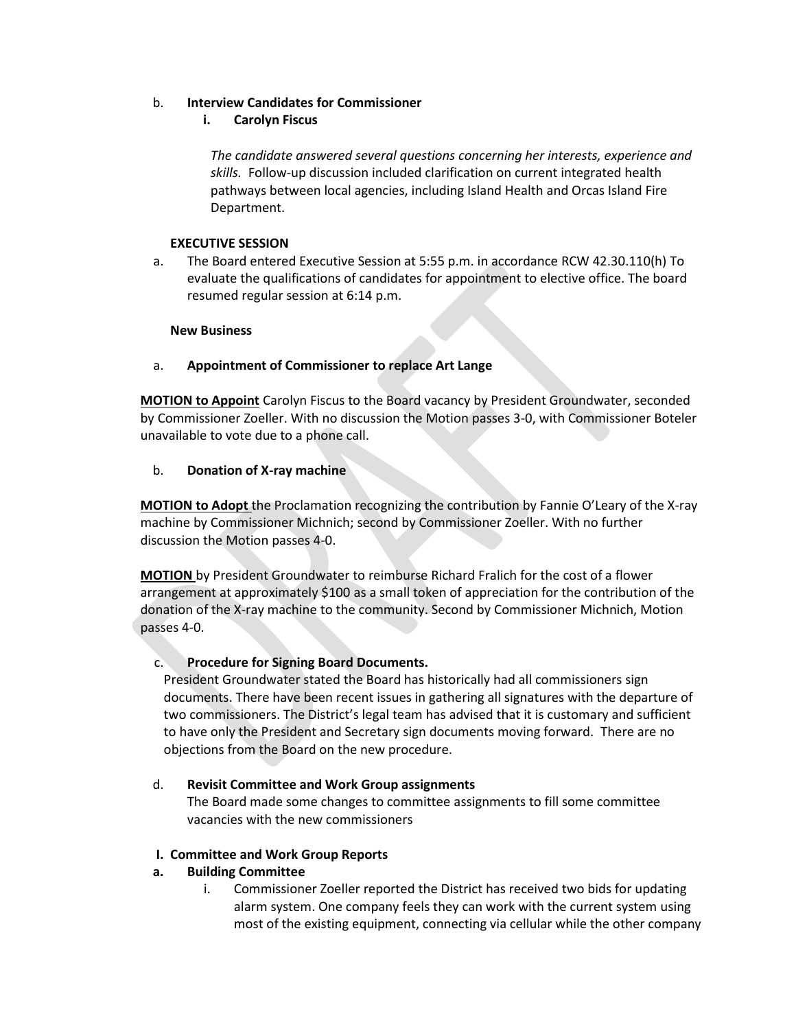# b. **Interview Candidates for Commissioner**

# **i. Carolyn Fiscus**

*The candidate answered several questions concerning her interests, experience and skills.* Follow-up discussion included clarification on current integrated health pathways between local agencies, including Island Health and Orcas Island Fire Department.

# **EXECUTIVE SESSION**

a. The Board entered Executive Session at 5:55 p.m. in accordance RCW 42.30.110(h) To evaluate the qualifications of candidates for appointment to elective office. The board resumed regular session at 6:14 p.m.

### **New Business**

# a. **Appointment of Commissioner to replace Art Lange**

**MOTION to Appoint** Carolyn Fiscus to the Board vacancy by President Groundwater, seconded by Commissioner Zoeller. With no discussion the Motion passes 3-0, with Commissioner Boteler unavailable to vote due to a phone call.

# b. **Donation of X-ray machine**

**MOTION to Adopt** the Proclamation recognizing the contribution by Fannie O'Leary of the X-ray machine by Commissioner Michnich; second by Commissioner Zoeller. With no further discussion the Motion passes 4-0.

**MOTION** by President Groundwater to reimburse Richard Fralich for the cost of a flower arrangement at approximately \$100 as a small token of appreciation for the contribution of the donation of the X-ray machine to the community. Second by Commissioner Michnich, Motion passes 4-0.

# c. **Procedure for Signing Board Documents.**

President Groundwater stated the Board has historically had all commissioners sign documents. There have been recent issues in gathering all signatures with the departure of two commissioners. The District's legal team has advised that it is customary and sufficient to have only the President and Secretary sign documents moving forward. There are no objections from the Board on the new procedure.

# d. **Revisit Committee and Work Group assignments**

The Board made some changes to committee assignments to fill some committee vacancies with the new commissioners

### **I. Committee and Work Group Reports**

# **a. Building Committee**

i. Commissioner Zoeller reported the District has received two bids for updating alarm system. One company feels they can work with the current system using most of the existing equipment, connecting via cellular while the other company